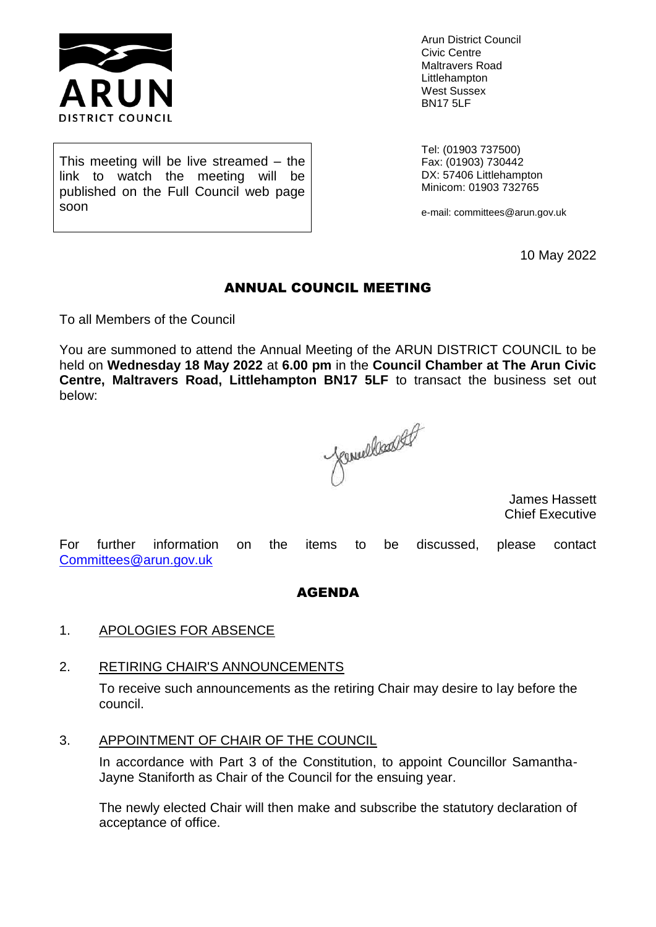

Arun District Council Civic Centre Maltravers Road Littlehampton West Sussex BN17 5LF

This meeting will be live streamed – the link to watch the meeting will be published on the Full Council web page soon

Tel: (01903 737500) Fax: (01903) 730442 DX: 57406 Littlehampton Minicom: 01903 732765

e-mail: committees@arun.gov.uk

10 May 2022

# ANNUAL COUNCIL MEETING

To all Members of the Council

You are summoned to attend the Annual Meeting of the ARUN DISTRICT COUNCIL to be held on **Wednesday 18 May 2022** at **6.00 pm** in the **Council Chamber at The Arun Civic Centre, Maltravers Road, Littlehampton BN17 5LF** to transact the business set out below:

Jenneslandsof

James Hassett Chief Executive

For further information on the items to be discussed, please contact [Committees@arun.gov.uk](mailto:Committees@arun.gov.uk)

### AGENDA

#### 1. APOLOGIES FOR ABSENCE

#### 2. RETIRING CHAIR'S ANNOUNCEMENTS

To receive such announcements as the retiring Chair may desire to lay before the council.

#### 3. APPOINTMENT OF CHAIR OF THE COUNCIL

In accordance with Part 3 of the Constitution, to appoint Councillor Samantha-Jayne Staniforth as Chair of the Council for the ensuing year.

The newly elected Chair will then make and subscribe the statutory declaration of acceptance of office.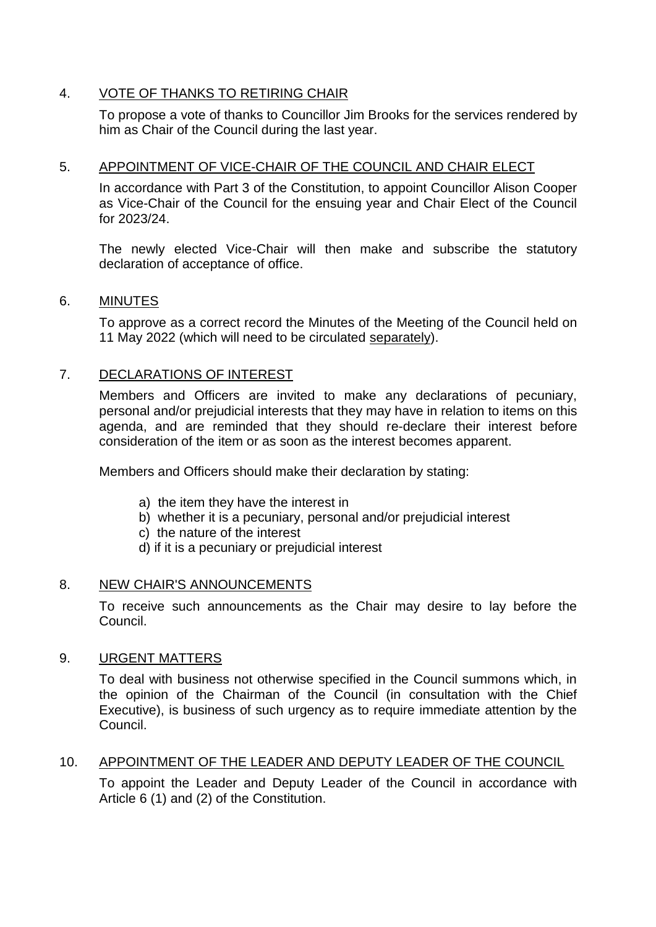# 4. VOTE OF THANKS TO RETIRING CHAIR

To propose a vote of thanks to Councillor Jim Brooks for the services rendered by him as Chair of the Council during the last year.

### 5. APPOINTMENT OF VICE-CHAIR OF THE COUNCIL AND CHAIR ELECT

In accordance with Part 3 of the Constitution, to appoint Councillor Alison Cooper as Vice-Chair of the Council for the ensuing year and Chair Elect of the Council for 2023/24.

The newly elected Vice-Chair will then make and subscribe the statutory declaration of acceptance of office.

#### 6. MINUTES

To approve as a correct record the Minutes of the Meeting of the Council held on 11 May 2022 (which will need to be circulated separately).

### 7. DECLARATIONS OF INTEREST

Members and Officers are invited to make any declarations of pecuniary, personal and/or prejudicial interests that they may have in relation to items on this agenda, and are reminded that they should re-declare their interest before consideration of the item or as soon as the interest becomes apparent.

Members and Officers should make their declaration by stating:

- a) the item they have the interest in
- b) whether it is a pecuniary, personal and/or prejudicial interest
- c) the nature of the interest
- d) if it is a pecuniary or prejudicial interest

### 8. NEW CHAIR'S ANNOUNCEMENTS

To receive such announcements as the Chair may desire to lay before the Council.

#### 9. URGENT MATTERS

To deal with business not otherwise specified in the Council summons which, in the opinion of the Chairman of the Council (in consultation with the Chief Executive), is business of such urgency as to require immediate attention by the Council.

### 10. APPOINTMENT OF THE LEADER AND DEPUTY LEADER OF THE COUNCIL

To appoint the Leader and Deputy Leader of the Council in accordance with Article 6 (1) and (2) of the Constitution.